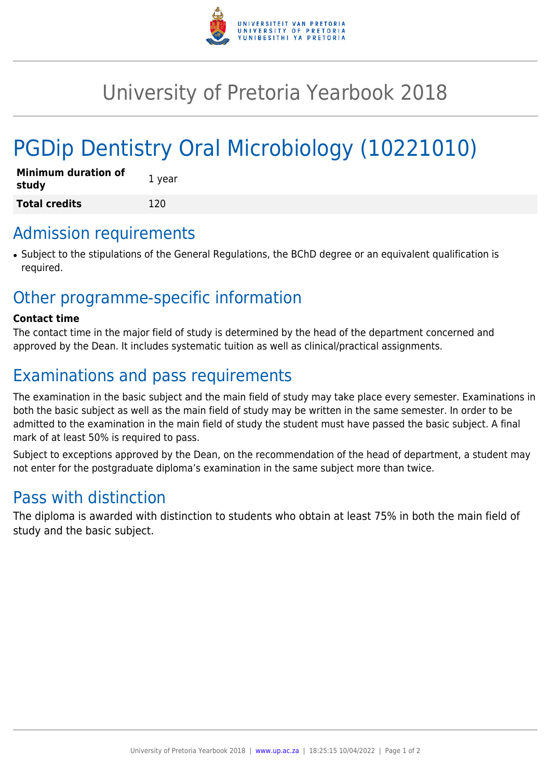

# University of Pretoria Yearbook 2018

# PGDip Dentistry Oral Microbiology (10221010)

| <b>Minimum duration of</b><br>study | 1 year |
|-------------------------------------|--------|
| <b>Total credits</b>                | 120    |

#### Admission requirements

● Subject to the stipulations of the General Regulations, the BChD degree or an equivalent qualification is required.

## Other programme-specific information

#### **Contact time**

The contact time in the major field of study is determined by the head of the department concerned and approved by the Dean. It includes systematic tuition as well as clinical/practical assignments.

## Examinations and pass requirements

The examination in the basic subject and the main field of study may take place every semester. Examinations in both the basic subject as well as the main field of study may be written in the same semester. In order to be admitted to the examination in the main field of study the student must have passed the basic subject. A final mark of at least 50% is required to pass.

Subject to exceptions approved by the Dean, on the recommendation of the head of department, a student may not enter for the postgraduate diploma's examination in the same subject more than twice.

## Pass with distinction

The diploma is awarded with distinction to students who obtain at least 75% in both the main field of study and the basic subject.